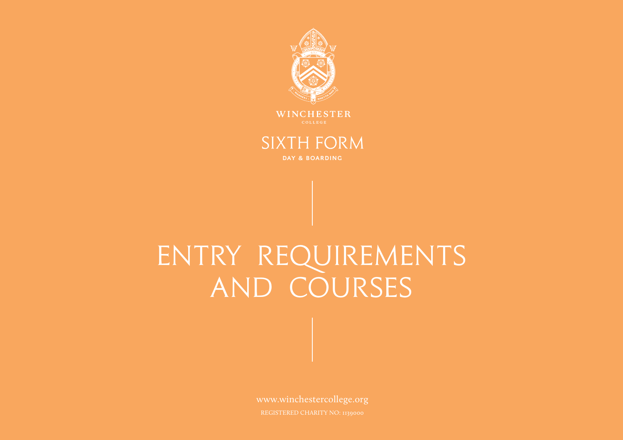

WINCHESTER

## **SIXTH FORM**

DAY & BOARDING

# ENTRY REQUIREMENTS and Courses

www.winchestercollege.org REGISTERED CHARITY NO: 1139000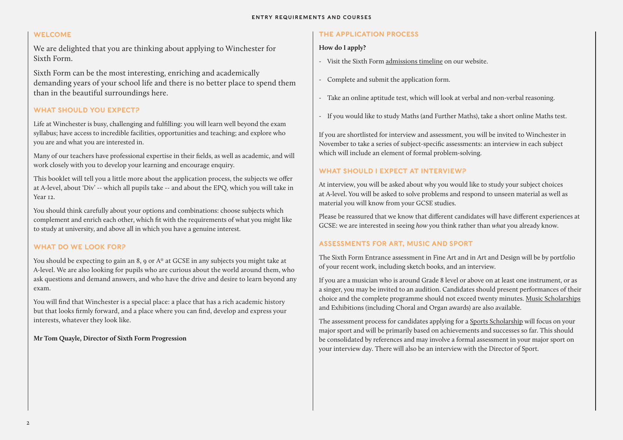### WELCOME

We are delighted that you are thinking about applying to Winchester for Sixth Form.

Sixth Form can be the most interesting, enriching and academically demanding years of your school life and there is no better place to spend them than in the beautiful surroundings here.

### WHAT SHOULD YOU EXPECT?

This booklet will tell you a little more about the application process, the subjects we offer at A-level, about 'Div' -- which all pupils take -- and about the EPQ, which you will take in Year 12.

Life at Winchester is busy, challenging and fulfilling: you will learn well beyond the exam syllabus; have access to incredible facilities, opportunities and teaching; and explore who you are and what you are interested in.

Many of our teachers have professional expertise in their fields, as well as academic, and will work closely with you to develop your learning and encourage enquiry.

You should think carefully about your options and combinations: choose subjects which complement and enrich each other, which fit with the requirements of what you might like to study at university, and above all in which you have a genuine interest.

### WHAT DO WE LOOK FOR?

You should be expecting to gain an 8, 9 or A\* at GCSE in any subjects you might take at A-level. We are also looking for pupils who are curious about the world around them, who ask questions and demand answers, and who have the drive and desire to learn beyond any exam.

You will find that Winchester is a special place: a place that has a rich academic history but that looks firmly forward, and a place where you can find, develop and express your interests, whatever they look like.

**Mr Tom Quayle, Director of Sixth Form Progression** 

### THE APPLICATION PROCESS

### **How do I apply?**

The assessment process for candidates applying for a Sports [Scholarship](https://www.winchestercollege.org/admissions/music-and-sports-scholarships) will focus on your major sport and will be primarily based on achievements and successes so far. This should be consolidated by references and may involve a formal assessment in your major sport on your interview day. There will also be an interview with the Director of Sport.

- Visit the Sixth Form [admissions timeline](https://www.winchestercollege.org/admissions/sixth-form-timeline) on our website.
- Complete and submit the application form.
- Take an online aptitude test, which will look at verbal and non-verbal reasoning.
- If you would like to study Maths (and Further Maths), take a short online Maths test.

If you are shortlisted for interview and assessment, you will be invited to Winchester in November to take a series of subject-specific assessments: an interview in each subject which will include an element of formal problem-solving.

### WHAT SHOULD I EXPECT AT INTERVIEW?

At interview, you will be asked about why you would like to study your subject choices at A-level. You will be asked to solve problems and respond to unseen material as well as material you will know from your GCSE studies.

Please be reassured that we know that different candidates will have different experiences at GCSE: we are interested in seeing *how* you think rather than *what* you already know.

### ASSESSMENTS FOR ART, MUSIC AND SPORT

The Sixth Form Entrance assessment in Fine Art and in Art and Design will be by portfolio of your recent work, including sketch books, and an interview.

If you are a musician who is around Grade 8 level or above on at least one instrument, or as a singer, you may be invited to an audition. Candidates should present performances of their choice and the complete programme should not exceed twenty minutes. [Music Scholarships](https://www.winchestercollege.org/admissions/music-and-sports-scholarships) and Exhibitions (including Choral and Organ awards) are also available.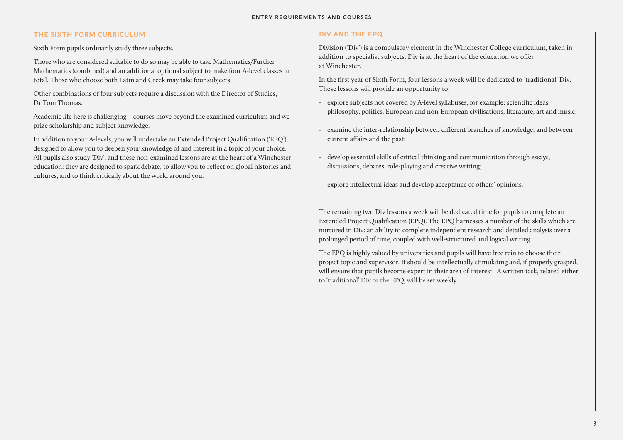### THE SIXTH FORM CURRICULUM

Sixth Form pupils ordinarily study three subjects.

Those who are considered suitable to do so may be able to take Mathematics/Further Mathematics (combined) and an additional optional subject to make four A-level classes in total. Those who choose both Latin and Greek may take four subjects.

Other combinations of four subjects require a discussion with the Director of Studies, Dr Tom Thomas.

Academic life here is challenging – courses move beyond the examined curriculum and we prize scholarship and subject knowledge.

In addition to your A-levels, you will undertake an Extended Project Qualification ('EPQ'), designed to allow you to deepen your knowledge of and interest in a topic of your choice. All pupils also study 'Div', and these non-examined lessons are at the heart of a Winchester education: they are designed to spark debate, to allow you to reflect on global histories and cultures, and to think critically about the world around you.

- explore subjects not covered by A-level syllabuses, for example: scientific ideas, philosophy, politics, European and non-European civilisations, literature, art and music;
- examine the inter-relationship between different branches of knowledge; and between current affairs and the past;
- develop essential skills of critical thinking and communication through essays, discussions, debates, role-playing and creative writing;
- explore intellectual ideas and develop acceptance of others' opinions.

### DIV AND THE EPQ

Division ('Div') is a compulsory element in the Winchester College curriculum, taken in addition to specialist subjects. Div is at the heart of the education we offer at Winchester.

In the first year of Sixth Form, four lessons a week will be dedicated to 'traditional' Div. These lessons will provide an opportunity to:

The remaining two Div lessons a week will be dedicated time for pupils to complete an Extended Project Qualification (EPQ). The EPQ harnesses a number of the skills which are nurtured in Div: an ability to complete independent research and detailed analysis over a prolonged period of time, coupled with well-structured and logical writing.

The EPQ is highly valued by universities and pupils will have free rein to choose their project topic and supervisor. It should be intellectually stimulating and, if properly grasped, will ensure that pupils become expert in their area of interest. A written task, related either to 'traditional' Div or the EPQ, will be set weekly.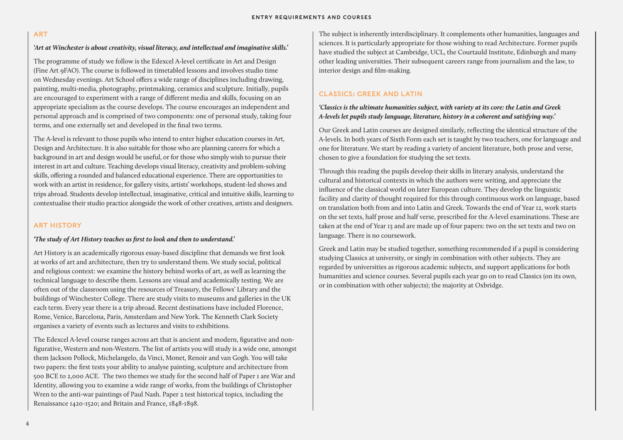### ART

### *'Art at Winchester is about creativity, visual literacy, and intellectual and imaginative skills.'*

The programme of study we follow is the Edexcel A-level certificate in Art and Design (Fine Art 9FAO). The course is followed in timetabled lessons and involves studio time on Wednesday evenings. Art School offers a wide range of disciplines including drawing, painting, multi-media, photography, printmaking, ceramics and sculpture. Initially, pupils are encouraged to experiment with a range of different media and skills, focusing on an appropriate specialism as the course develops. The course encourages an independent and personal approach and is comprised of two components: one of personal study, taking four terms, and one externally set and developed in the final two terms.

The A-level is relevant to those pupils who intend to enter higher education courses in Art, Design and Architecture. It is also suitable for those who are planning careers for which a background in art and design would be useful, or for those who simply wish to pursue their interest in art and culture. Teaching develops visual literacy, creativity and problem-solving skills, offering a rounded and balanced educational experience. There are opportunities to work with an artist in residence, for gallery visits, artists' workshops, student-led shows and trips abroad. Students develop intellectual, imaginative, critical and intuitive skills, learning to contextualise their studio practice alongside the work of other creatives, artists and designers.

### ART HISTORY

### *'The study of Art History teaches us first to look and then to understand.'*

Art History is an academically rigorous essay-based discipline that demands we first look at works of art and architecture, then try to understand them. We study social, political and religious context: we examine the history behind works of art, as well as learning the technical language to describe them. Lessons are visual and academically testing. We are often out of the classroom using the resources of Treasury, the Fellows' Library and the buildings of Winchester College. There are study visits to museums and galleries in the UK each term. Every year there is a trip abroad. Recent destinations have included Florence, Rome, Venice, Barcelona, Paris, Amsterdam and New York. The Kenneth Clark Society organises a variety of events such as lectures and visits to exhibitions.

The Edexcel A-level course ranges across art that is ancient and modern, figurative and nonfigurative, Western and non-Western. The list of artists you will study is a wide one, amongst them Jackson Pollock, Michelangelo, da Vinci, Monet, Renoir and van Gogh. You will take two papers: the first tests your ability to analyse painting, sculpture and architecture from 500 BCE to 2,000 ACE. The two themes we study for the second half of Paper 1 are War and Identity, allowing you to examine a wide range of works, from the buildings of Christopher Wren to the anti-war paintings of Paul Nash. Paper 2 test historical topics, including the Renaissance 1420-1520; and Britain and France, 1848-1898.

The subject is inherently interdisciplinary. It complements other humanities, languages and sciences. It is particularly appropriate for those wishing to read Architecture. Former pupils have studied the subject at Cambridge, UCL, the Courtauld Institute, Edinburgh and many other leading universities. Their subsequent careers range from journalism and the law, to interior design and film-making.

### CLASSICS: GREEK AND LATIN

### *'Classics is the ultimate humanities subject, with variety at its core: the Latin and Greek A-levels let pupils study language, literature, history in a coherent and satisfying way.'*

Our Greek and Latin courses are designed similarly, reflecting the identical structure of the A-levels. In both years of Sixth Form each set is taught by two teachers, one for language and one for literature. We start by reading a variety of ancient literature, both prose and verse, chosen to give a foundation for studying the set texts.

Through this reading the pupils develop their skills in literary analysis, understand the cultural and historical contexts in which the authors were writing, and appreciate the influence of the classical world on later European culture. They develop the linguistic facility and clarity of thought required for this through continuous work on language, based on translation both from and into Latin and Greek. Towards the end of Year 12, work starts on the set texts, half prose and half verse, prescribed for the A-level examinations. These are taken at the end of Year 13 and are made up of four papers: two on the set texts and two on language. There is no coursework.

Greek and Latin may be studied together, something recommended if a pupil is considering studying Classics at university, or singly in combination with other subjects. They are regarded by universities as rigorous academic subjects, and support applications for both humanities and science courses. Several pupils each year go on to read Classics (on its own, or in combination with other subjects); the majority at Oxbridge.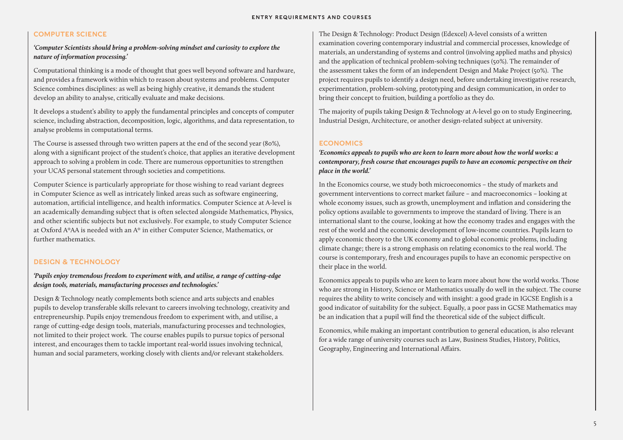### COMPUTER SCIENCE

### *'Computer Scientists should bring a problem-solving mindset and curiosity to explore the nature of information processing.'*

Computational thinking is a mode of thought that goes well beyond software and hardware, and provides a framework within which to reason about systems and problems. Computer Science combines disciplines: as well as being highly creative, it demands the student develop an ability to analyse, critically evaluate and make decisions.

It develops a student's ability to apply the fundamental principles and concepts of computer science, including abstraction, decomposition, logic, algorithms, and data representation, to analyse problems in computational terms.

The Course is assessed through two written papers at the end of the second year (80%), along with a significant project of the student's choice, that applies an iterative development approach to solving a problem in code. There are numerous opportunities to strengthen your UCAS personal statement through societies and competitions.

Computer Science is particularly appropriate for those wishing to read variant degrees in Computer Science as well as intricately linked areas such as software engineering, automation, artificial intelligence, and health informatics. Computer Science at A-level is an academically demanding subject that is often selected alongside Mathematics, Physics, and other scientific subjects but not exclusively. For example, to study Computer Science at Oxford A\*AA is needed with an A\* in either Computer Science, Mathematics, or further mathematics.

### DESIGN & TECHNOLOGY

### *'Pupils enjoy tremendous freedom to experiment with, and utilise, a range of cutting-edge design tools, materials, manufacturing processes and technologies.'*

Design & Technology neatly complements both science and arts subjects and enables pupils to develop transferable skills relevant to careers involving technology, creativity and entrepreneurship. Pupils enjoy tremendous freedom to experiment with, and utilise, a range of cutting-edge design tools, materials, manufacturing processes and technologies, not limited to their project work. The course enables pupils to pursue topics of personal interest, and encourages them to tackle important real-world issues involving technical, human and social parameters, working closely with clients and/or relevant stakeholders.

The Design & Technology: Product Design (Edexcel) A-level consists of a written examination covering contemporary industrial and commercial processes, knowledge of materials, an understanding of systems and control (involving applied maths and physics) and the application of technical problem-solving techniques (50%). The remainder of the assessment takes the form of an independent Design and Make Project (50%). The project requires pupils to identify a design need, before undertaking investigative research, experimentation, problem-solving, prototyping and design communication, in order to bring their concept to fruition, building a portfolio as they do.

The majority of pupils taking Design & Technology at A-level go on to study Engineering, Industrial Design, Architecture, or another design-related subject at university.

### **ECONOMICS**

*'Economics appeals to pupils who are keen to learn more about how the world works: a contemporary, fresh course that encourages pupils to have an economic perspective on their place in the world.'* 

In the Economics course, we study both microeconomics – the study of markets and government interventions to correct market failure – and macroeconomics – looking at whole economy issues, such as growth, unemployment and inflation and considering the policy options available to governments to improve the standard of living. There is an international slant to the course, looking at how the economy trades and engages with the rest of the world and the economic development of low-income countries. Pupils learn to apply economic theory to the UK economy and to global economic problems, including climate change; there is a strong emphasis on relating economics to the real world. The course is contemporary, fresh and encourages pupils to have an economic perspective on their place in the world.

Economics appeals to pupils who are keen to learn more about how the world works. Those who are strong in History, Science or Mathematics usually do well in the subject. The course requires the ability to write concisely and with insight: a good grade in IGCSE English is a good indicator of suitability for the subject. Equally, a poor pass in GCSE Mathematics may be an indication that a pupil will find the theoretical side of the subject difficult.

Economics, while making an important contribution to general education, is also relevant for a wide range of university courses such as Law, Business Studies, History, Politics, Geography, Engineering and International Affairs.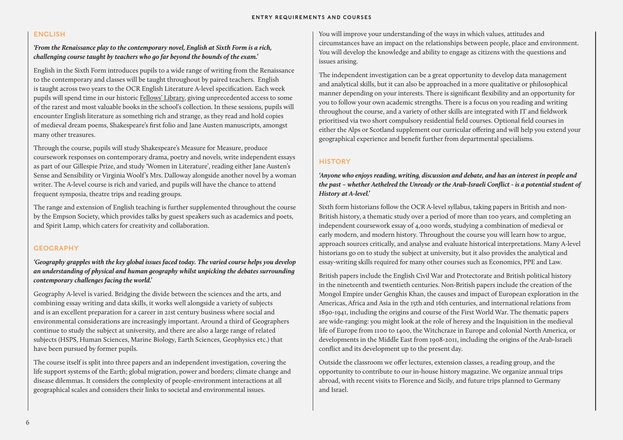### ENGLISH

### *'From the Renaissance play to the contemporary novel, English at Sixth Form is a rich, challenging course taught by teachers who go far beyond the bounds of the exam.'*

English in the Sixth Form introduces pupils to a wide range of writing from the Renaissance to the contemporary and classes will be taught throughout by paired teachers. English is taught across two years to the OCR English Literature A-level specification. Each week pupils will spend time in our historic [Fellows' Library,](http://www.winchestercollege.org/welcome/archives-libraries-treasury/fellows-library) giving unprecedented access to some of the rarest and most valuable books in the school's collection. In these sessions, pupils will encounter English literature as something rich and strange, as they read and hold copies of medieval dream poems, Shakespeare's first folio and Jane Austen manuscripts, amongst many other treasures.

Through the course, pupils will study Shakespeare's Measure for Measure, produce coursework responses on contemporary drama, poetry and novels, write independent essays as part of our Gillespie Prize, and study 'Women in Literature', reading either Jane Austen's Sense and Sensibility or Virginia Woolf's Mrs. Dalloway alongside another novel by a woman writer. The A-level course is rich and varied, and pupils will have the chance to attend frequent symposia, theatre trips and reading groups.

The range and extension of English teaching is further supplemented throughout the course by the Empson Society, which provides talks by guest speakers such as academics and poets, and Spirit Lamp, which caters for creativity and collaboration.

### **GEOGRAPHY**

*'Geography grapples with the key global issues faced today. The varied course helps you develop an understanding of physical and human geography whilst unpicking the debates surrounding contemporary challenges facing the world.'*

Geography A-level is varied. Bridging the divide between the sciences and the arts, and combining essay writing and data skills, it works well alongside a variety of subjects and is an excellent preparation for a career in 21st century business where social and environmental considerations are increasingly important. Around a third of Geographers continue to study the subject at university, and there are also a large range of related subjects (HSPS, Human Sciences, Marine Biology, Earth Sciences, Geophysics etc.) that have been pursued by former pupils.

The course itself is split into three papers and an independent investigation, covering the life support systems of the Earth; global migration, power and borders; climate change and disease dilemmas. It considers the complexity of people-environment interactions at all geographical scales and considers their links to societal and environmental issues.

You will improve your understanding of the ways in which values, attitudes and circumstances have an impact on the relationships between people, place and environment. You will develop the knowledge and ability to engage as citizens with the questions and issues arising.

The independent investigation can be a great opportunity to develop data management and analytical skills, but it can also be approached in a more qualitative or philosophical manner depending on your interests. There is significant flexibility and an opportunity for you to follow your own academic strengths. There is a focus on you reading and writing throughout the course, and a variety of other skills are integrated with IT and fieldwork prioritised via two short compulsory residential field courses. Optional field courses in either the Alps or Scotland supplement our curricular offering and will help you extend your geographical experience and benefit further from departmental specialisms.

### **HISTORY**

### *'Anyone who enjoys reading, writing, discussion and debate, and has an interest in people and the past – whether Aethelred the Unready or the Arab-Israeli Conflict - is a potential student of History at A-level.'*

Sixth form historians follow the OCR A-level syllabus, taking papers in British and non-British history, a thematic study over a period of more than 100 years, and completing an independent coursework essay of 4,000 words, studying a combination of medieval or early modern, and modern history. Throughout the course you will learn how to argue, approach sources critically, and analyse and evaluate historical interpretations. Many A-level historians go on to study the subject at university, but it also provides the analytical and essay-writing skills required for many other courses such as Economics, PPE and Law.

British papers include the English Civil War and Protectorate and British political history in the nineteenth and twentieth centuries. Non-British papers include the creation of the Mongol Empire under Genghis Khan, the causes and impact of European exploration in the Americas, Africa and Asia in the 15th and 16th centuries, and international relations from 1890-1941, including the origins and course of the First World War. The thematic papers are wide-ranging: you might look at the role of heresy and the Inquisition in the medieval life of Europe from 1100 to 1400, the Witchcraze in Europe and colonial North America, or developments in the Middle East from 1908-2011, including the origins of the Arab-Israeli conflict and its development up to the present day.

Outside the classroom we offer lectures, extension classes, a reading group, and the opportunity to contribute to our in-house history magazine. We organize annual trips abroad, with recent visits to Florence and Sicily, and future trips planned to Germany and Israel.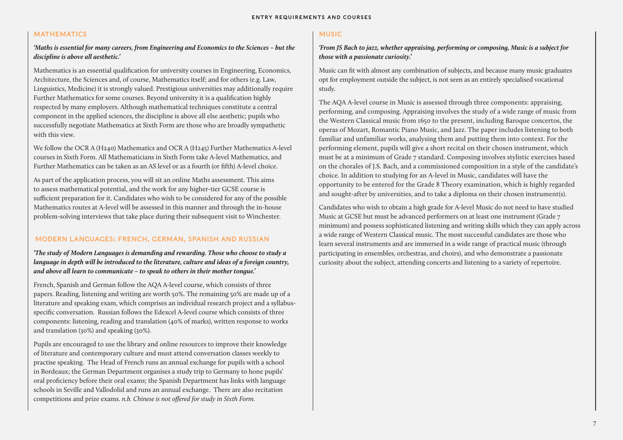### MATHEMATICS

### *'Maths is essential for many careers, from Engineering and Economics to the Sciences – but the discipline is above all aesthetic.'*

Mathematics is an essential qualification for university courses in Engineering, Economics, Architecture, the Sciences and, of course, Mathematics itself; and for others (e.g. Law, Linguistics, Medicine) it is strongly valued. Prestigious universities may additionally require Further Mathematics for some courses. Beyond university it is a qualification highly respected by many employers. Although mathematical techniques constitute a central component in the applied sciences, the discipline is above all else aesthetic; pupils who successfully negotiate Mathematics at Sixth Form are those who are broadly sympathetic with this view.

We follow the OCR A (H240) Mathematics and OCR A (H245) Further Mathematics A-level courses in Sixth Form. All Mathematicians in Sixth Form take A-level Mathematics, and Further Mathematics can be taken as an AS level or as a fourth (or fifth) A-level choice.

As part of the application process, you will sit an online Maths assessment. This aims to assess mathematical potential, and the work for any higher-tier GCSE course is sufficient preparation for it. Candidates who wish to be considered for any of the possible Mathematics routes at A-level will be assessed in this manner and through the in-house problem-solving interviews that take place during their subsequent visit to Winchester.

### MODERN LANGUAGES: FRENCH, GERMAN, SPANISH AND RUSSIAN

### *'The study of Modern Languages is demanding and rewarding. Those who choose to study a language in depth will be introduced to the literature, culture and ideas of a foreign country, and above all learn to communicate – to speak to others in their mother tongue.'*

French, Spanish and German follow the AQA A-level course, which consists of three papers. Reading, listening and writing are worth 50%. The remaining 50% are made up of a literature and speaking exam, which comprises an individual research project and a syllabusspecific conversation. Russian follows the Edexcel A-level course which consists of three components: listening, reading and translation (40% of marks), written response to works and translation (30%) and speaking (30%).

Pupils are encouraged to use the library and online resources to improve their knowledge of literature and contemporary culture and must attend conversation classes weekly to practise speaking. The Head of French runs an annual exchange for pupils with a school in Bordeaux; the German Department organises a study trip to Germany to hone pupils' oral proficiency before their oral exams; the Spanish Department has links with language schools in Seville and Vallodolid and runs an annual exchange. There are also recitation competitions and prize exams. *n.b. Chinese is not offered for study in Sixth Form.* 

### MUSIC

### *'From JS Bach to jazz, whether appraising, performing or composing, Music is a subject for those with a passionate curiosity.'*

Music can fit with almost any combination of subjects, and because many music graduates opt for employment outside the subject, is not seen as an entirely specialised vocational study.

The AQA A-level course in Music is assessed through three components: appraising, performing, and composing. Appraising involves the study of a wide range of music from the Western Classical music from 1650 to the present, including Baroque concertos, the operas of Mozart, Romantic Piano Music, and Jazz. The paper includes listening to both familiar and unfamiliar works, analysing them and putting them into context. For the performing element, pupils will give a short recital on their chosen instrument, which must be at a minimum of Grade 7 standard. Composing involves stylistic exercises based on the chorales of J.S. Bach, and a commissioned composition in a style of the candidate's choice. In addition to studying for an A-level in Music, candidates will have the opportunity to be entered for the Grade 8 Theory examination, which is highly regarded and sought-after by universities, and to take a diploma on their chosen instrument(s).

Candidates who wish to obtain a high grade for A-level Music do not need to have studied Music at GCSE but must be advanced performers on at least one instrument (Grade 7 minimum) and possess sophisticated listening and writing skills which they can apply across a wide range of Western Classical music. The most successful candidates are those who learn several instruments and are immersed in a wide range of practical music (through participating in ensembles, orchestras, and choirs), and who demonstrate a passionate curiosity about the subject, attending concerts and listening to a variety of repertoire.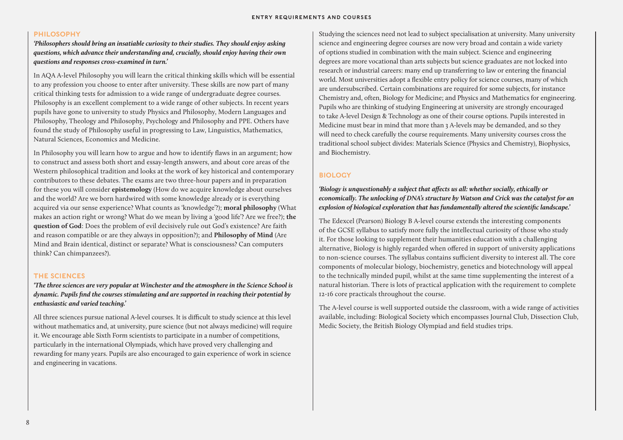### PHILOSOPHY

*'Philosophers should bring an insatiable curiosity to their studies. They should enjoy asking questions, which advance their understanding and, crucially, should enjoy having their own questions and responses cross-examined in turn.'*

In AQA A-level Philosophy you will learn the critical thinking skills which will be essential to any profession you choose to enter after university. These skills are now part of many critical thinking tests for admission to a wide range of undergraduate degree courses. Philosophy is an excellent complement to a wide range of other subjects. In recent years pupils have gone to university to study Physics and Philosophy, Modern Languages and Philosophy, Theology and Philosophy, Psychology and Philosophy and PPE. Others have found the study of Philosophy useful in progressing to Law, Linguistics, Mathematics, Natural Sciences, Economics and Medicine.

In Philosophy you will learn how to argue and how to identify flaws in an argument; how to construct and assess both short and essay-length answers, and about core areas of the Western philosophical tradition and looks at the work of key historical and contemporary contributors to these debates. The exams are two three-hour papers and in preparation for these you will consider **epistemology** (How do we acquire knowledge about ourselves and the world? Are we born hardwired with some knowledge already or is everything acquired via our sense experience? What counts as 'knowledge'?); **moral philosophy** (What makes an action right or wrong? What do we mean by living a 'good life'? Are we free?); **the question of God**: Does the problem of evil decisively rule out God's existence? Are faith and reason compatible or are they always in opposition?); and **Philosophy of Mind** (Are Mind and Brain identical, distinct or separate? What is consciousness? Can computers think? Can chimpanzees?).

### THE SCIENCES

*'The three sciences are very popular at Winchester and the atmosphere in the Science School is dynamic. Pupils find the courses stimulating and are supported in reaching their potential by enthusiastic and varied teaching.'* 

All three sciences pursue national A-level courses. It is difficult to study science at this level without mathematics and, at university, pure science (but not always medicine) will require it. We encourage able Sixth Form scientists to participate in a number of competitions, particularly in the international Olympiads, which have proved very challenging and rewarding for many years. Pupils are also encouraged to gain experience of work in science and engineering in vacations.

Studying the sciences need not lead to subject specialisation at university. Many university science and engineering degree courses are now very broad and contain a wide variety of options studied in combination with the main subject. Science and engineering degrees are more vocational than arts subjects but science graduates are not locked into research or industrial careers: many end up transferring to law or entering the financial world. Most universities adopt a flexible entry policy for science courses, many of which are undersubscribed. Certain combinations are required for some subjects, for instance Chemistry and, often, Biology for Medicine; and Physics and Mathematics for engineering. Pupils who are thinking of studying Engineering at university are strongly encouraged to take A-level Design & Technology as one of their course options. Pupils interested in Medicine must bear in mind that more than 3 A-levels may be demanded, and so they will need to check carefully the course requirements. Many university courses cross the traditional school subject divides: Materials Science (Physics and Chemistry), Biophysics, and Biochemistry.

### BIOLOGY

### *'Biology is unquestionably a subject that affects us all: whether socially, ethically or economically. The unlocking of DNA's structure by Watson and Crick was the catalyst for an explosion of biological exploration that has fundamentally altered the scientific landscape.'*

The Edexcel (Pearson) Biology B A-level course extends the interesting components of the GCSE syllabus to satisfy more fully the intellectual curiosity of those who study it. For those looking to supplement their humanities education with a challenging alternative, Biology is highly regarded when offered in support of university applications to non-science courses. The syllabus contains sufficient diversity to interest all. The core components of molecular biology, biochemistry, genetics and biotechnology will appeal to the technically minded pupil, whilst at the same time supplementing the interest of a natural historian. There is lots of practical application with the requirement to complete 12-16 core practicals throughout the course.

The A-level course is well supported outside the classroom, with a wide range of activities available, including: Biological Society which encompasses Journal Club, Dissection Club, Medic Society, the British Biology Olympiad and field studies trips.